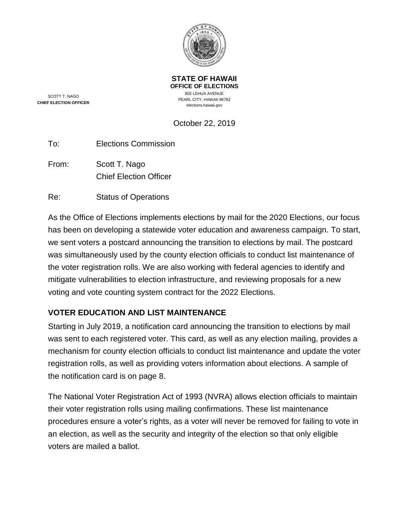

SCOTT T. NAGO **CHIEF ELECTION OFFICER** **OFFICE OF ELECTIONS** 802 LEHUA AVENUE PEARL CITY, HAWAII 96782 elections.hawaii.gov

**STATE OF HAWAII**

October 22, 2019

To: Elections Commission

From: Scott T. Nago Chief Election Officer

Re: Status of Operations

As the Office of Elections implements elections by mail for the 2020 Elections, our focus has been on developing a statewide voter education and awareness campaign. To start, we sent voters a postcard announcing the transition to elections by mail. The postcard was simultaneously used by the county election officials to conduct list maintenance of the voter registration rolls. We are also working with federal agencies to identify and mitigate vulnerabilities to election infrastructure, and reviewing proposals for a new voting and vote counting system contract for the 2022 Elections.

# **VOTER EDUCATION AND LIST MAINTENANCE**

Starting in July 2019, a notification card announcing the transition to elections by mail was sent to each registered voter. This card, as well as any election mailing, provides a mechanism for county election officials to conduct list maintenance and update the voter registration rolls, as well as providing voters information about elections. A sample of the notification card is on page [8.](#page-7-0)

The National Voter Registration Act of 1993 (NVRA) allows election officials to maintain their voter registration rolls using mailing confirmations. These list maintenance procedures ensure a voter's rights, as a voter will never be removed for failing to vote in an election, as well as the security and integrity of the election so that only eligible voters are mailed a ballot.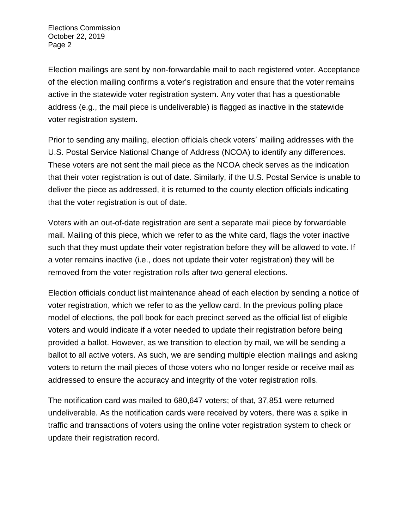Election mailings are sent by non-forwardable mail to each registered voter. Acceptance of the election mailing confirms a voter's registration and ensure that the voter remains active in the statewide voter registration system. Any voter that has a questionable address (e.g., the mail piece is undeliverable) is flagged as inactive in the statewide voter registration system.

Prior to sending any mailing, election officials check voters' mailing addresses with the U.S. Postal Service National Change of Address (NCOA) to identify any differences. These voters are not sent the mail piece as the NCOA check serves as the indication that their voter registration is out of date. Similarly, if the U.S. Postal Service is unable to deliver the piece as addressed, it is returned to the county election officials indicating that the voter registration is out of date.

Voters with an out-of-date registration are sent a separate mail piece by forwardable mail. Mailing of this piece, which we refer to as the white card, flags the voter inactive such that they must update their voter registration before they will be allowed to vote. If a voter remains inactive (i.e., does not update their voter registration) they will be removed from the voter registration rolls after two general elections.

Election officials conduct list maintenance ahead of each election by sending a notice of voter registration, which we refer to as the yellow card. In the previous polling place model of elections, the poll book for each precinct served as the official list of eligible voters and would indicate if a voter needed to update their registration before being provided a ballot. However, as we transition to election by mail, we will be sending a ballot to all active voters. As such, we are sending multiple election mailings and asking voters to return the mail pieces of those voters who no longer reside or receive mail as addressed to ensure the accuracy and integrity of the voter registration rolls.

The notification card was mailed to 680,647 voters; of that, 37,851 were returned undeliverable. As the notification cards were received by voters, there was a spike in traffic and transactions of voters using the online voter registration system to check or update their registration record.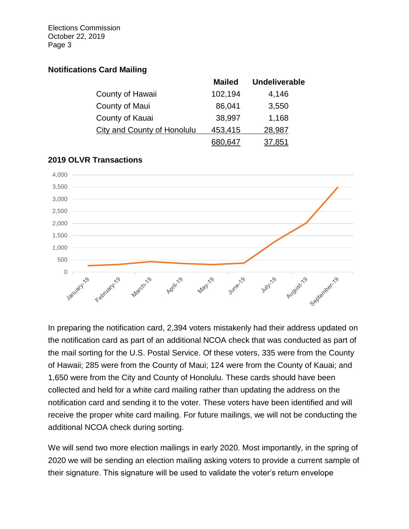## **Notifications Card Mailing**

|                             | <b>Mailed</b> | <b>Undeliverable</b> |
|-----------------------------|---------------|----------------------|
| County of Hawaii            | 102,194       | 4,146                |
| County of Maui              | 86,041        | 3,550                |
| County of Kauai             | 38,997        | 1,168                |
| City and County of Honolulu | 453,415       | 28,987               |
|                             |               | .851                 |



## **2019 OLVR Transactions**

In preparing the notification card, 2,394 voters mistakenly had their address updated on the notification card as part of an additional NCOA check that was conducted as part of the mail sorting for the U.S. Postal Service. Of these voters, 335 were from the County of Hawaii; 285 were from the County of Maui; 124 were from the County of Kauai; and 1,650 were from the City and County of Honolulu. These cards should have been collected and held for a white card mailing rather than updating the address on the notification card and sending it to the voter. These voters have been identified and will receive the proper white card mailing. For future mailings, we will not be conducting the additional NCOA check during sorting.

We will send two more election mailings in early 2020. Most importantly, in the spring of 2020 we will be sending an election mailing asking voters to provide a current sample of their signature. This signature will be used to validate the voter's return envelope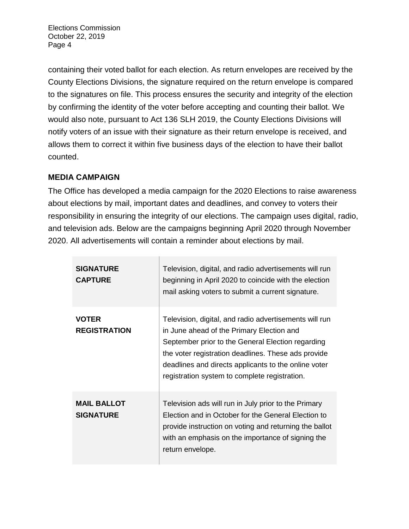containing their voted ballot for each election. As return envelopes are received by the County Elections Divisions, the signature required on the return envelope is compared to the signatures on file. This process ensures the security and integrity of the election by confirming the identity of the voter before accepting and counting their ballot. We would also note, pursuant to Act 136 SLH 2019, the County Elections Divisions will notify voters of an issue with their signature as their return envelope is received, and allows them to correct it within five business days of the election to have their ballot counted.

# **MEDIA CAMPAIGN**

The Office has developed a media campaign for the 2020 Elections to raise awareness about elections by mail, important dates and deadlines, and convey to voters their responsibility in ensuring the integrity of our elections. The campaign uses digital, radio, and television ads. Below are the campaigns beginning April 2020 through November 2020. All advertisements will contain a reminder about elections by mail.

| <b>SIGNATURE</b><br><b>CAPTURE</b>     | Television, digital, and radio advertisements will run<br>beginning in April 2020 to coincide with the election<br>mail asking voters to submit a current signature.                                                                                                                                                     |
|----------------------------------------|--------------------------------------------------------------------------------------------------------------------------------------------------------------------------------------------------------------------------------------------------------------------------------------------------------------------------|
| <b>VOTER</b><br><b>REGISTRATION</b>    | Television, digital, and radio advertisements will run<br>in June ahead of the Primary Election and<br>September prior to the General Election regarding<br>the voter registration deadlines. These ads provide<br>deadlines and directs applicants to the online voter<br>registration system to complete registration. |
| <b>MAIL BALLOT</b><br><b>SIGNATURE</b> | Television ads will run in July prior to the Primary<br>Election and in October for the General Election to<br>provide instruction on voting and returning the ballot<br>with an emphasis on the importance of signing the<br>return envelope.                                                                           |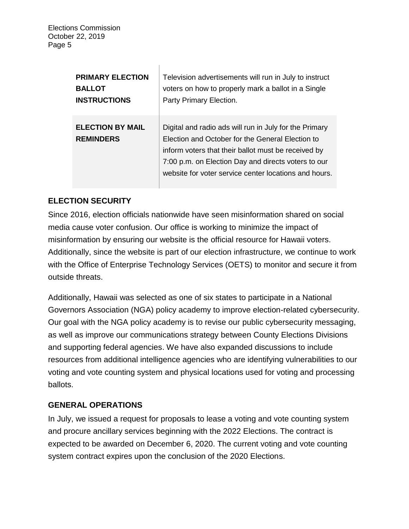| <b>PRIMARY ELECTION</b>                     | Television advertisements will run in July to instruct                                                                                                                                                                                                                            |
|---------------------------------------------|-----------------------------------------------------------------------------------------------------------------------------------------------------------------------------------------------------------------------------------------------------------------------------------|
| <b>BALLOT</b>                               | voters on how to properly mark a ballot in a Single                                                                                                                                                                                                                               |
| <b>INSTRUCTIONS</b>                         | Party Primary Election.                                                                                                                                                                                                                                                           |
| <b>ELECTION BY MAIL</b><br><b>REMINDERS</b> | Digital and radio ads will run in July for the Primary<br>Election and October for the General Election to<br>inform voters that their ballot must be received by<br>7:00 p.m. on Election Day and directs voters to our<br>website for voter service center locations and hours. |

 $\overline{1}$ 

# **ELECTION SECURITY**

Since 2016, election officials nationwide have seen misinformation shared on social media cause voter confusion. Our office is working to minimize the impact of misinformation by ensuring our website is the official resource for Hawaii voters. Additionally, since the website is part of our election infrastructure, we continue to work with the Office of Enterprise Technology Services (OETS) to monitor and secure it from outside threats.

Additionally, Hawaii was selected as one of six states to participate in a National Governors Association (NGA) policy academy to improve election-related cybersecurity. Our goal with the NGA policy academy is to revise our public cybersecurity messaging, as well as improve our communications strategy between County Elections Divisions and supporting federal agencies. We have also expanded discussions to include resources from additional intelligence agencies who are identifying vulnerabilities to our voting and vote counting system and physical locations used for voting and processing ballots.

# **GENERAL OPERATIONS**

In July, we issued a request for proposals to lease a voting and vote counting system and procure ancillary services beginning with the 2022 Elections. The contract is expected to be awarded on December 6, 2020. The current voting and vote counting system contract expires upon the conclusion of the 2020 Elections.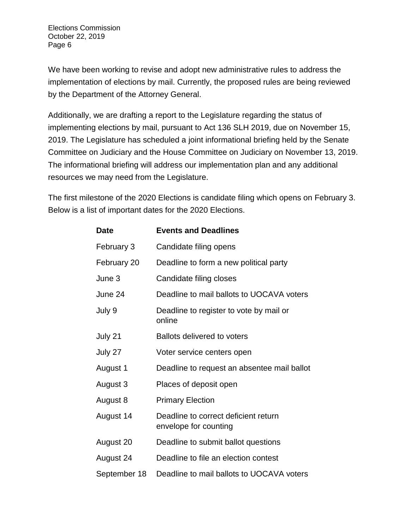We have been working to revise and adopt new administrative rules to address the implementation of elections by mail. Currently, the proposed rules are being reviewed by the Department of the Attorney General.

Additionally, we are drafting a report to the Legislature regarding the status of implementing elections by mail, pursuant to Act 136 SLH 2019, due on November 15, 2019. The Legislature has scheduled a joint informational briefing held by the Senate Committee on Judiciary and the House Committee on Judiciary on November 13, 2019. The informational briefing will address our implementation plan and any additional resources we may need from the Legislature.

The first milestone of the 2020 Elections is candidate filing which opens on February 3. Below is a list of important dates for the 2020 Elections.

| <b>Date</b>  | <b>Events and Deadlines</b>                                   |
|--------------|---------------------------------------------------------------|
| February 3   | Candidate filing opens                                        |
| February 20  | Deadline to form a new political party                        |
| June 3       | Candidate filing closes                                       |
| June 24      | Deadline to mail ballots to UOCAVA voters                     |
| July 9       | Deadline to register to vote by mail or<br>online             |
| July 21      | <b>Ballots delivered to voters</b>                            |
| July 27      | Voter service centers open                                    |
| August 1     | Deadline to request an absentee mail ballot                   |
| August 3     | Places of deposit open                                        |
| August 8     | <b>Primary Election</b>                                       |
| August 14    | Deadline to correct deficient return<br>envelope for counting |
| August 20    | Deadline to submit ballot questions                           |
| August 24    | Deadline to file an election contest                          |
| September 18 | Deadline to mail ballots to UOCAVA voters                     |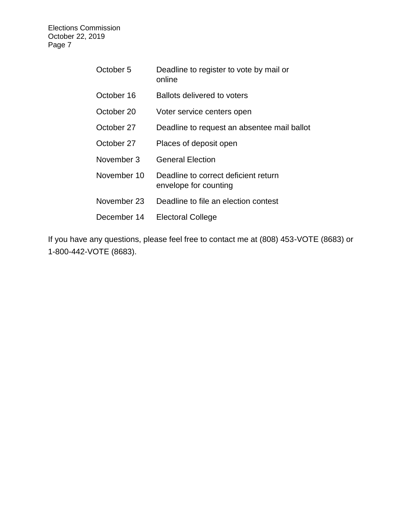| October 5   | Deadline to register to vote by mail or<br>online             |
|-------------|---------------------------------------------------------------|
| October 16  | Ballots delivered to voters                                   |
| October 20  | Voter service centers open                                    |
| October 27  | Deadline to request an absentee mail ballot                   |
| October 27  | Places of deposit open                                        |
| November 3  | <b>General Election</b>                                       |
| November 10 | Deadline to correct deficient return<br>envelope for counting |
| November 23 | Deadline to file an election contest                          |
| December 14 | <b>Electoral College</b>                                      |

If you have any questions, please feel free to contact me at (808) 453-VOTE (8683) or 1-800-442-VOTE (8683).